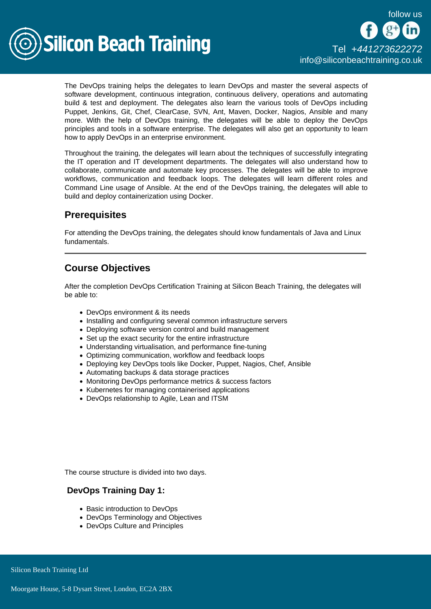follow us



The DevOps training helps the delegates to learn DevOps and master the several aspects of software development, continuous integration, continuous delivery, operations and automating build & test and deployment. The delegates also learn the various tools of DevOps including Puppet, Jenkins, Git, Chef, ClearCase, SVN, Ant, Maven, Docker, Nagios, Ansible and many more. With the help of DevOps training, the delegates will be able to deploy the DevOps principles and tools in a software enterprise. The delegates will also get an opportunity to learn how to apply DevOps in an enterprise environment.

Throughout the training, the delegates will learn about the techniques of successfully integrating the IT operation and IT development departments. The delegates will also understand how to collaborate, communicate and automate key processes. The delegates will be able to improve workflows, communication and feedback loops. The delegates will learn different roles and Command Line usage of Ansible. At the end of the DevOps training, the delegates will able to build and deploy containerization using Docker.

## **Prerequisites**

For attending the DevOps training, the delegates should know fundamentals of Java and Linux fundamentals.

## Course Objectives

After the completion DevOps Certification Training at Silicon Beach Training, the delegates will be able to:

- DevOps environment & its needs
- Installing and configuring several common infrastructure servers
- Deploying software version control and build management
- Set up the exact security for the entire infrastructure
- Understanding virtualisation, and performance fine-tuning
- Optimizing communication, workflow and feedback loops
- Deploying key DevOps tools like Docker, Puppet, Nagios, Chef, Ansible
- Automating backups & data storage practices
- Monitoring DevOps performance metrics & success factors
- Kubernetes for managing containerised applications
- DevOps relationship to Agile, Lean and ITSM

The course structure is divided into two days.

## DevOps Training Day 1:

- Basic introduction to DevOps
- DevOps Terminology and Objectives
- DevOps Culture and Principles

**Silicon Beach Training Ltd**